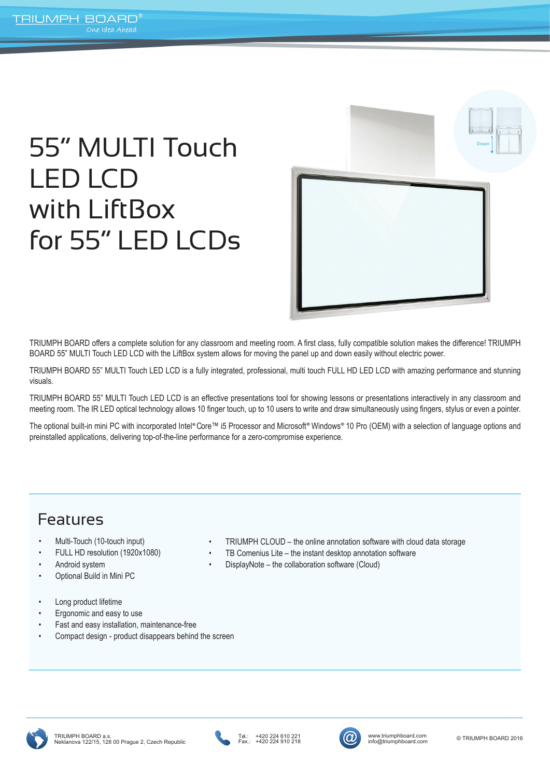# 55" MULTI Touch LED LCD with LiftBox for 55" LED LCDs



TRIUMPH BOARD offers a complete solution for any classroom and meeting room. A first class, fully compatible solution makes the difference! TRIUMPH BOARD 55" MULTI Touch LED LCD with the LiftBox system allows for moving the panel up and down easily without electric power.

TRIUMPH BOARD 55" MULTI Touch LED LCD is a fully integrated, professional, multi touch FULL HD LED LCD with amazing performance and stunning visuals.

TRIUMPH BOARD 55" MULTI Touch LED LCD is an effective presentations tool for showing lessons or presentations interactively in any classroom and meeting room. The IR LED optical technology allows 10 finger touch, up to 10 users to write and draw simultaneously using fingers, stylus or even a pointer.

The optional built-in mini PC with incorporated Intel® Core™ i5 Processor and Microsoft® Windows® 10 Pro (OEM) with a selection of language options and preinstalled applications, delivering top-of-the-line performance for a zero-compromise experience.

### Features

- Multi-Touch (10-touch input)
- FULL HD resolution (1920x1080)
- Android system
- Optional Build in Mini PC
- Long product lifetime
- Ergonomic and easy to use
- Fast and easy installation, maintenance-free
- Compact design product disappears behind the screen
- TRIUMPH CLOUD the online annotation software with cloud data storage
- TB Comenius Lite the instant desktop annotation software
- DisplayNote the collaboration software (Cloud)